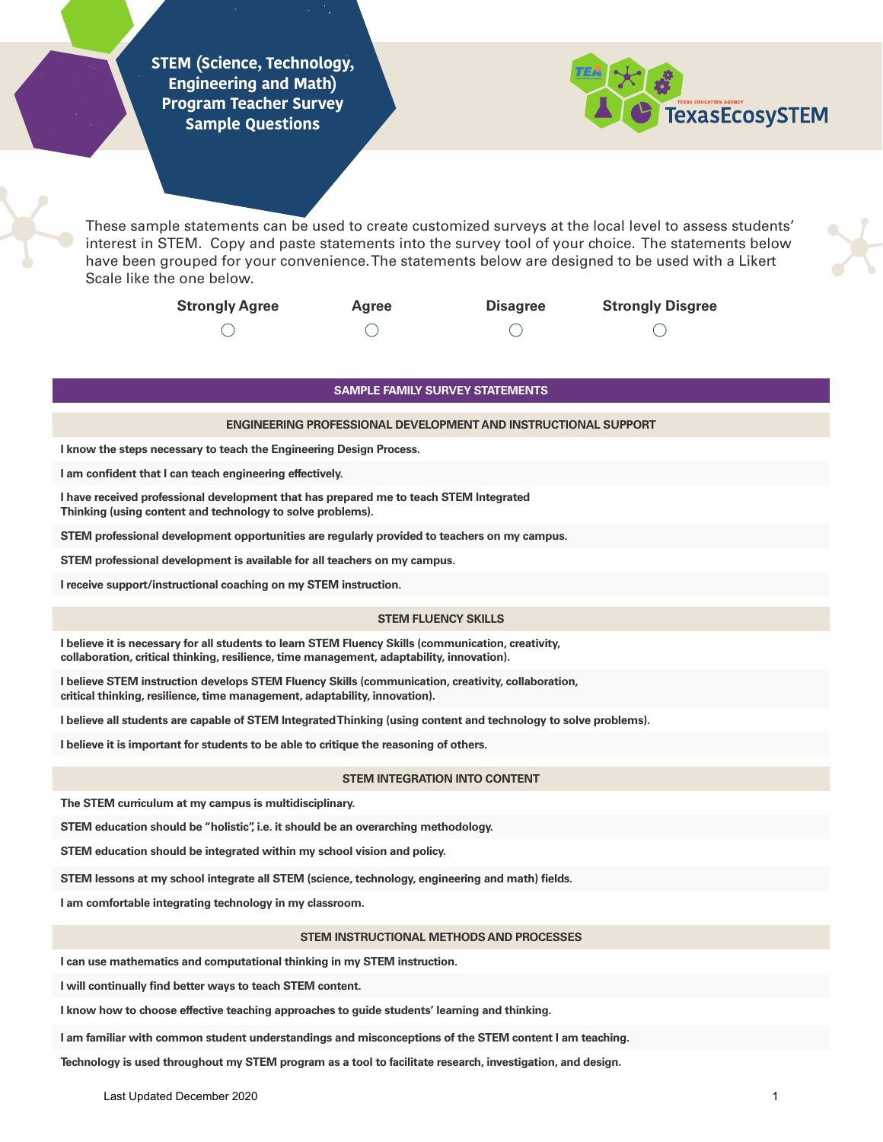**STEM (Science, Technology, Engineering and Math) Program Teacher Survey Sample Questions**



These sample statements can be used to create customized surveys at the local level to assess students' interest in STEM. Copy and paste statements into the survey tool of your choice. The statements below have been grouped for your convenience. The statements below are designed to be used with a Likert Scale like the one below.

| <b>Strongly Agree</b> | <b>Agree</b> | <b>Disagree</b> | <b>Strongly Disgree</b> |
|-----------------------|--------------|-----------------|-------------------------|
|                       |              |                 |                         |

## **SAMPLE FAMILY SURVEY STATEMENTS**

#### **ENGINEERING PROFESSIONAL DEVELOPMENT AND INSTRUCTIONAL SUPPORT**

**I know the steps necessary to teach the Engineering Design Process.**

**I am confident that I can teach engineering effectively.**

**I have received professional development that has prepared me to teach STEM Integrated Thinking (using content and technology to solve problems).**

**STEM professional development opportunities are regularly provided to teachers on my campus.**

**STEM professional development is available for all teachers on my campus.**

**I receive support/instructional coaching on my STEM instruction.**

### **STEM FLUENCY SKILLS**

**I believe it is necessary for all students to learn STEM Fluency Skills (communication, creativity, collaboration, critical thinking, resilience, time management, adaptability, innovation).**

**I believe STEM instruction develops STEM Fluency Skills (communication, creativity, collaboration, critical thinking, resilience, time management, adaptability, innovation).**

**I believe all students are capable of STEM Integrated Thinking (using content and technology to solve problems).**

**I believe it is important for students to be able to critique the reasoning of others.**

### **STEM INTEGRATION INTO CONTENT**

**The STEM curriculum at my campus is multidisciplinary.**

**STEM education should be "holistic", i.e. it should be an overarching methodology.**

**STEM education should be integrated within my school vision and policy.**

**STEM lessons at my school integrate all STEM (science, technology, engineering and math) fields.** 

**I am comfortable integrating technology in my classroom.**

### **STEM INSTRUCTIONAL METHODS AND PROCESSES**

**I can use mathematics and computational thinking in my STEM instruction.**

**I will continually find better ways to teach STEM content.**

**I know how to choose effective teaching approaches to guide students' learning and thinking.**

**I am familiar with common student understandings and misconceptions of the STEM content I am teaching.**

**Technology is used throughout my STEM program as a tool to facilitate research, investigation, and design.**

Last Updated December 2020 **1 1**